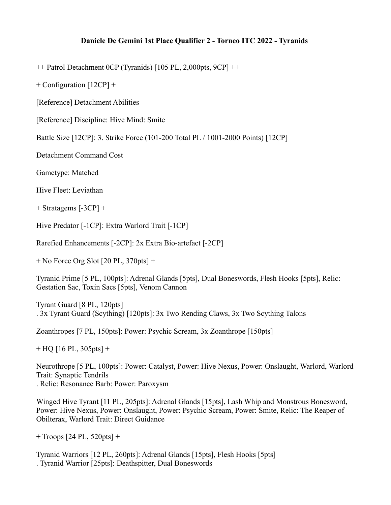## **Daniele De Gemini 1st Place Qualifier 2 - Torneo ITC 2022 - Tyranids**

++ Patrol Detachment 0CP (Tyranids) [105 PL, 2,000pts, 9CP] ++

+ Configuration [12CP] +

[Reference] Detachment Abilities

[Reference] Discipline: Hive Mind: Smite

Battle Size [12CP]: 3. Strike Force (101-200 Total PL / 1001-2000 Points) [12CP]

Detachment Command Cost

Gametype: Matched

Hive Fleet: Leviathan

+ Stratagems [-3CP] +

Hive Predator [-1CP]: Extra Warlord Trait [-1CP]

Rarefied Enhancements [-2CP]: 2x Extra Bio-artefact [-2CP]

 $+$  No Force Org Slot [20 PL, 370pts]  $+$ 

Tyranid Prime [5 PL, 100pts]: Adrenal Glands [5pts], Dual Boneswords, Flesh Hooks [5pts], Relic: Gestation Sac, Toxin Sacs [5pts], Venom Cannon

Tyrant Guard [8 PL, 120pts] . 3x Tyrant Guard (Scything) [120pts]: 3x Two Rending Claws, 3x Two Scything Talons

Zoanthropes [7 PL, 150pts]: Power: Psychic Scream, 3x Zoanthrope [150pts]

 $+$  HQ [16 PL, 305pts] +

Neurothrope [5 PL, 100pts]: Power: Catalyst, Power: Hive Nexus, Power: Onslaught, Warlord, Warlord Trait: Synaptic Tendrils . Relic: Resonance Barb: Power: Paroxysm

Winged Hive Tyrant [11 PL, 205pts]: Adrenal Glands [15pts], Lash Whip and Monstrous Bonesword, Power: Hive Nexus, Power: Onslaught, Power: Psychic Scream, Power: Smite, Relic: The Reaper of Obilterax, Warlord Trait: Direct Guidance

+ Troops [24 PL, 520pts] +

Tyranid Warriors [12 PL, 260pts]: Adrenal Glands [15pts], Flesh Hooks [5pts] . Tyranid Warrior [25pts]: Deathspitter, Dual Boneswords